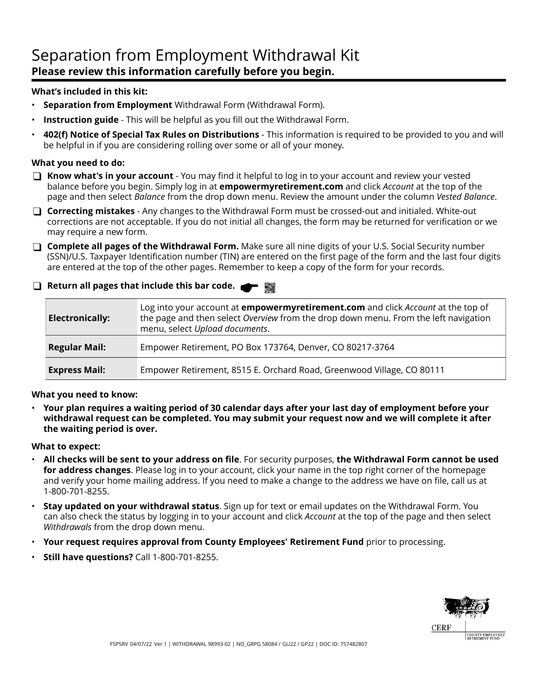## Separation from Employment Withdrawal Kit **Please review this information carefully before you begin.**

### **What's included in this kit:**

- **Separation from Employment** Withdrawal Form (Withdrawal Form).
- **Instruction guide** This will be helpful as you fill out the Withdrawal Form.
- **402(f) Notice of Special Tax Rules on Distributions**  This information is required to be provided to you and will be helpful in if you are considering rolling over some or all of your money.

### **What you need to do:**

- **Know what's in your account** You may find it helpful to log in to your account and review your vested balance before you begin. Simply log in at **empowermyretirement.com** and click *Account* at the top of the page and then select *Balance* from the drop down menu. Review the amount under the column *Vested Balance*.
- **Correcting mistakes** Any changes to the Withdrawal Form must be crossed-out and initialed. White-out corrections are not acceptable. If you do not initial all changes, the form may be returned for verification or we may require a new form.
- **Complete all pages of the Withdrawal Form.** Make sure all nine digits of your U.S. Social Security number (SSN)/U.S. Taxpayer Identification number (TIN) are entered on the first page of the form and the last four digits are entered at the top of the other pages. Remember to keep a copy of the form for your records.
- **Return all pages that include this bar code.**

| <b>Electronically:</b> | Log into your account at <b>empowermyretirement.com</b> and click Account at the top of<br>the page and then select Overview from the drop down menu. From the left navigation<br>menu, select Upload documents. |
|------------------------|------------------------------------------------------------------------------------------------------------------------------------------------------------------------------------------------------------------|
| <b>Regular Mail:</b>   | Empower Retirement, PO Box 173764, Denver, CO 80217-3764                                                                                                                                                         |
| <b>Express Mail:</b>   | Empower Retirement, 8515 E. Orchard Road, Greenwood Village, CO 80111                                                                                                                                            |

### **What you need to know:**

• **Your plan requires a waiting period of 30 calendar days after your last day of employment before your withdrawal request can be completed. You may submit your request now and we will complete it after the waiting period is over.**

### **What to expect:**

- **All checks will be sent to your address on file**. For security purposes, **the Withdrawal Form cannot be used for address changes**. Please log in to your account, click your name in the top right corner of the homepage and verify your home mailing address. If you need to make a change to the address we have on file, call us at 1-800-701-8255.
- **Stay updated on your withdrawal status**. Sign up for text or email updates on the Withdrawal Form. You can also check the status by logging in to your account and click *Account* at the top of the page and then select *Withdrawals* from the drop down menu.
- **Your request requires approval from County Employees' Retirement Fund** prior to processing.
- **Still have questions?** Call 1-800-701-8255.

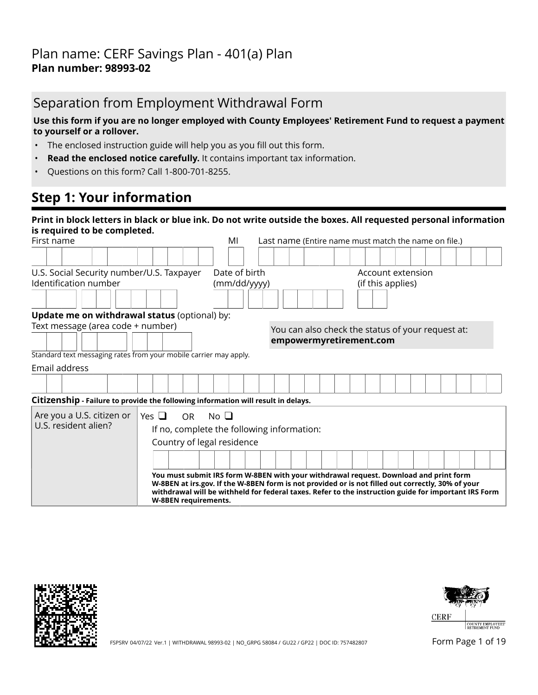## Separation from Employment Withdrawal Form

### **Use this form if you are no longer employed with County Employees' Retirement Fund to request a payment to yourself or a rollover.**

- The enclosed instruction guide will help you as you fill out this form.
- **Read the enclosed notice carefully.** It contains important tax information.
- Questions on this form? Call 1-800-701-8255.

## **Step 1: Your information**

| Print in block letters in black or blue ink. Do not write outside the boxes. All requested personal information<br>is required to be completed. |                                                                                                                                                                                                                                                                                                                            |                                                      |                                                   |  |  |  |  |  |
|-------------------------------------------------------------------------------------------------------------------------------------------------|----------------------------------------------------------------------------------------------------------------------------------------------------------------------------------------------------------------------------------------------------------------------------------------------------------------------------|------------------------------------------------------|---------------------------------------------------|--|--|--|--|--|
| First name                                                                                                                                      | MI                                                                                                                                                                                                                                                                                                                         | Last name (Entire name must match the name on file.) |                                                   |  |  |  |  |  |
|                                                                                                                                                 |                                                                                                                                                                                                                                                                                                                            |                                                      |                                                   |  |  |  |  |  |
| U.S. Social Security number/U.S. Taxpayer                                                                                                       | Date of birth                                                                                                                                                                                                                                                                                                              |                                                      | Account extension                                 |  |  |  |  |  |
| Identification number                                                                                                                           | (mm/dd/yyyy)                                                                                                                                                                                                                                                                                                               |                                                      | (if this applies)                                 |  |  |  |  |  |
|                                                                                                                                                 |                                                                                                                                                                                                                                                                                                                            |                                                      |                                                   |  |  |  |  |  |
| Update me on withdrawal status (optional) by:                                                                                                   |                                                                                                                                                                                                                                                                                                                            |                                                      |                                                   |  |  |  |  |  |
| Text message (area code + number)                                                                                                               |                                                                                                                                                                                                                                                                                                                            |                                                      | You can also check the status of your request at: |  |  |  |  |  |
|                                                                                                                                                 |                                                                                                                                                                                                                                                                                                                            | empowermyretirement.com                              |                                                   |  |  |  |  |  |
| Standard text messaging rates from your mobile carrier may apply.                                                                               |                                                                                                                                                                                                                                                                                                                            |                                                      |                                                   |  |  |  |  |  |
| Email address                                                                                                                                   |                                                                                                                                                                                                                                                                                                                            |                                                      |                                                   |  |  |  |  |  |
|                                                                                                                                                 |                                                                                                                                                                                                                                                                                                                            |                                                      |                                                   |  |  |  |  |  |
| Citizenship - Failure to provide the following information will result in delays.                                                               |                                                                                                                                                                                                                                                                                                                            |                                                      |                                                   |  |  |  |  |  |
| Are you a U.S. citizen or<br>Yes $\Box$                                                                                                         | No <sub>1</sub><br><b>OR</b>                                                                                                                                                                                                                                                                                               |                                                      |                                                   |  |  |  |  |  |
| U.S. resident alien?                                                                                                                            | If no, complete the following information:                                                                                                                                                                                                                                                                                 |                                                      |                                                   |  |  |  |  |  |
|                                                                                                                                                 | Country of legal residence                                                                                                                                                                                                                                                                                                 |                                                      |                                                   |  |  |  |  |  |
|                                                                                                                                                 |                                                                                                                                                                                                                                                                                                                            |                                                      |                                                   |  |  |  |  |  |
|                                                                                                                                                 | You must submit IRS form W-8BEN with your withdrawal request. Download and print form<br>W-8BEN at irs.gov. If the W-8BEN form is not provided or is not filled out correctly, 30% of your<br>withdrawal will be withheld for federal taxes. Refer to the instruction guide for important IRS Form<br>W-8BEN requirements. |                                                      |                                                   |  |  |  |  |  |





FSPSRV 04/07/22 Ver.1 | WITHDRAWAL 98993-02 | NO\_GRPG 58084 / GU22 / GP22 | DOC ID: 757482807 FORM Page 1 of 19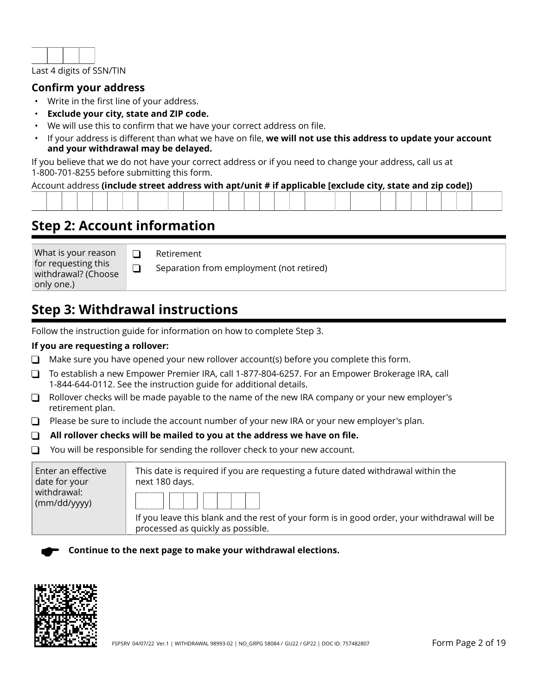

### **Confirm your address**

- Write in the first line of your address.
- **Exclude your city, state and ZIP code.**
- We will use this to confirm that we have your correct address on file.
- If your address is different than what we have on file, **we will not use this address to update your account and your withdrawal may be delayed.**

If you believe that we do not have your correct address or if you need to change your address, call us at 1-800-701-8255 before submitting this form.

### Account address **(include street address with apt/unit # if applicable [exclude city, state and zip code])**

| the contract of the contract of the contract of the contract of the contract of the contract of the contract of |  |  |  |  |  |  |  |  |  |  |  |  |  |  |  |
|-----------------------------------------------------------------------------------------------------------------|--|--|--|--|--|--|--|--|--|--|--|--|--|--|--|

## **Step 2: Account information**

What is your reason for requesting this withdrawal? (Choose only one.)

Retirement

Separation from employment (not retired)

## **Step 3: Withdrawal instructions**

 $\Box$  $\Box$ 

Follow the instruction guide for information on how to complete Step 3.

### **If you are requesting a rollover:**

- $\Box$  Make sure you have opened your new rollover account(s) before you complete this form.
- To establish a new Empower Premier IRA, call 1-877-804-6257. For an Empower Brokerage IRA, call 1-844-644-0112. See the instruction guide for additional details.
- $\Box$  Rollover checks will be made payable to the name of the new IRA company or your new employer's retirement plan.
- $\Box$  Please be sure to include the account number of your new IRA or your new employer's plan.
- **All rollover checks will be mailed to you at the address we have on file.**
- $\Box$  You will be responsible for sending the rollover check to your new account.

| Enter an effective<br>date for your | This date is required if you are requesting a future dated withdrawal within the<br>next 180 days.                               |
|-------------------------------------|----------------------------------------------------------------------------------------------------------------------------------|
| withdrawal:<br>(mm/dd/yyyy)         |                                                                                                                                  |
|                                     | If you leave this blank and the rest of your form is in good order, your withdrawal will be<br>processed as quickly as possible. |

**Continue to the next page to make your withdrawal elections.**

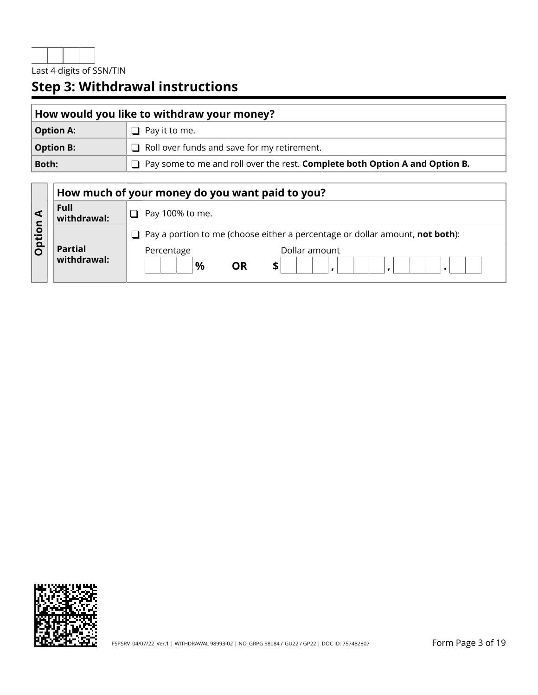

| How would you like to withdraw your money? |                                                                               |  |  |  |
|--------------------------------------------|-------------------------------------------------------------------------------|--|--|--|
| <b>Option A:</b>                           | $\Box$ Pay it to me.                                                          |  |  |  |
| <b>Option B:</b>                           | $\Box$ Roll over funds and save for my retirement.                            |  |  |  |
| Both:                                      | □ Pay some to me and roll over the rest. Complete both Option A and Option B. |  |  |  |

|             |                               | How much of your money do you want paid to you?                                     |
|-------------|-------------------------------|-------------------------------------------------------------------------------------|
|             | Full<br>withdrawal:           | Pay 100% to me.                                                                     |
| O<br>÷<br>О |                               | Pay a portion to me (choose either a percentage or dollar amount, not both):<br>- 1 |
|             | <b>Partial</b><br>withdrawal: | Dollar amount<br>Percentage<br>$\%$<br>OR                                           |

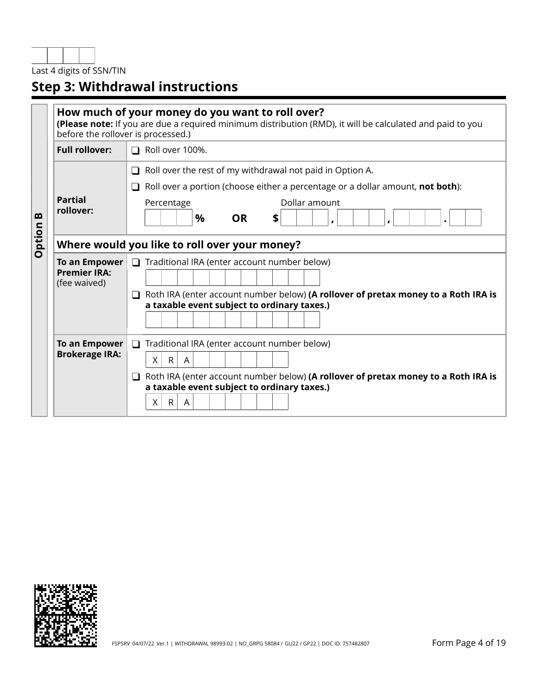

|        | How much of your money do you want to roll over?<br>(Please note: If you are due a required minimum distribution (RMD), it will be calculated and paid to you<br>before the rollover is processed.) |                                                                                                                                                                                                                                                      |  |  |  |  |  |  |  |
|--------|-----------------------------------------------------------------------------------------------------------------------------------------------------------------------------------------------------|------------------------------------------------------------------------------------------------------------------------------------------------------------------------------------------------------------------------------------------------------|--|--|--|--|--|--|--|
|        | <b>Full rollover:</b>                                                                                                                                                                               | Roll over 100%.                                                                                                                                                                                                                                      |  |  |  |  |  |  |  |
| m      | <b>Partial</b><br>rollover:                                                                                                                                                                         | Roll over the rest of my withdrawal not paid in Option A.<br>$\Box$<br>Roll over a portion (choose either a percentage or a dollar amount, not both):<br>Dollar amount<br>Percentage<br>$\%$<br><b>OR</b><br>\$                                      |  |  |  |  |  |  |  |
| Option |                                                                                                                                                                                                     | Where would you like to roll over your money?                                                                                                                                                                                                        |  |  |  |  |  |  |  |
|        | To an Empower<br><b>Premier IRA:</b><br>(fee waived)                                                                                                                                                | Traditional IRA (enter account number below)<br>Roth IRA (enter account number below) (A rollover of pretax money to a Roth IRA is<br>$\Box$<br>a taxable event subject to ordinary taxes.)                                                          |  |  |  |  |  |  |  |
|        | To an Empower<br><b>Brokerage IRA:</b>                                                                                                                                                              | $\Box$<br>Traditional IRA (enter account number below)<br>X<br>$\mathsf{R}$<br>A<br>Roth IRA (enter account number below) (A rollover of pretax money to a Roth IRA is<br>ப<br>a taxable event subject to ordinary taxes.)<br>$\mathsf{R}$<br>Χ<br>A |  |  |  |  |  |  |  |

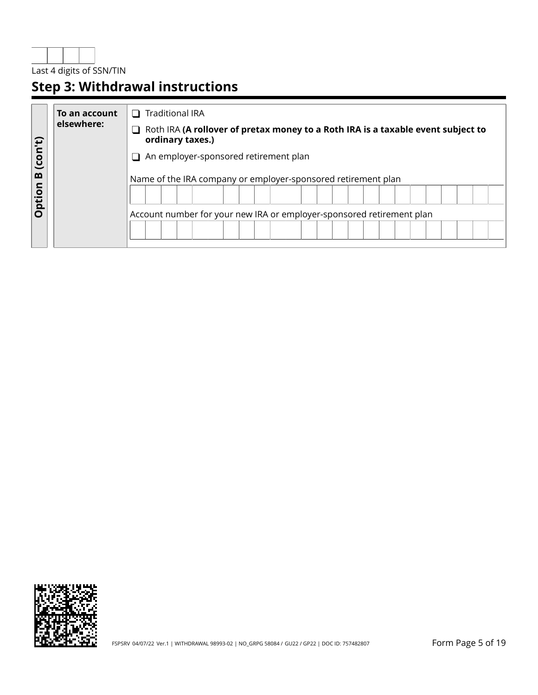

|              | To an account | <b>Traditional IRA</b><br>$\mathbf{I}$                                                               |
|--------------|---------------|------------------------------------------------------------------------------------------------------|
|              | elsewhere:    | Roth IRA (A rollover of pretax money to a Roth IRA is a taxable event subject to<br>ordinary taxes.) |
| (con't)<br>m |               | An employer-sponsored retirement plan                                                                |
|              |               | Name of the IRA company or employer-sponsored retirement plan                                        |
| Option       |               |                                                                                                      |
|              |               | Account number for your new IRA or employer-sponsored retirement plan                                |
|              |               |                                                                                                      |

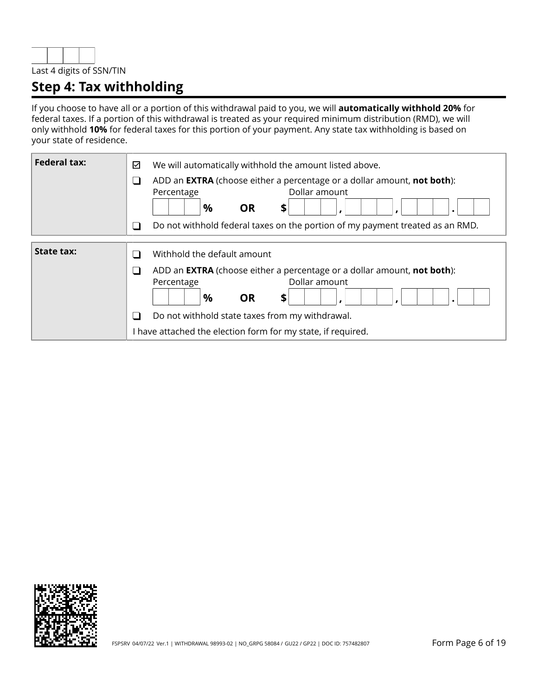

## **Step 4: Tax withholding**

If you choose to have all or a portion of this withdrawal paid to you, we will **automatically withhold 20%** for federal taxes. If a portion of this withdrawal is treated as your required minimum distribution (RMD), we will only withhold **10%** for federal taxes for this portion of your payment. Any state tax withholding is based on your state of residence.

| <b>Federal tax:</b> | We will automatically withhold the amount listed above.<br>☑<br>ADD an <b>EXTRA</b> (choose either a percentage or a dollar amount, not both):<br>ل<br>Dollar amount<br>Percentage<br>$\%$<br><b>OR</b><br>\$                                                                                                                                         |
|---------------------|-------------------------------------------------------------------------------------------------------------------------------------------------------------------------------------------------------------------------------------------------------------------------------------------------------------------------------------------------------|
|                     | Do not withhold federal taxes on the portion of my payment treated as an RMD.<br>a l                                                                                                                                                                                                                                                                  |
| <b>State tax:</b>   | Withhold the default amount<br>$\sim$<br>ADD an <b>EXTRA</b> (choose either a percentage or a dollar amount, <b>not both</b> ):<br>$\mathcal{L}_{\mathcal{A}}$<br>Dollar amount<br>Percentage<br>$\%$<br><b>OR</b><br>\$<br>Do not withhold state taxes from my withdrawal.<br>$\Box$<br>I have attached the election form for my state, if required. |

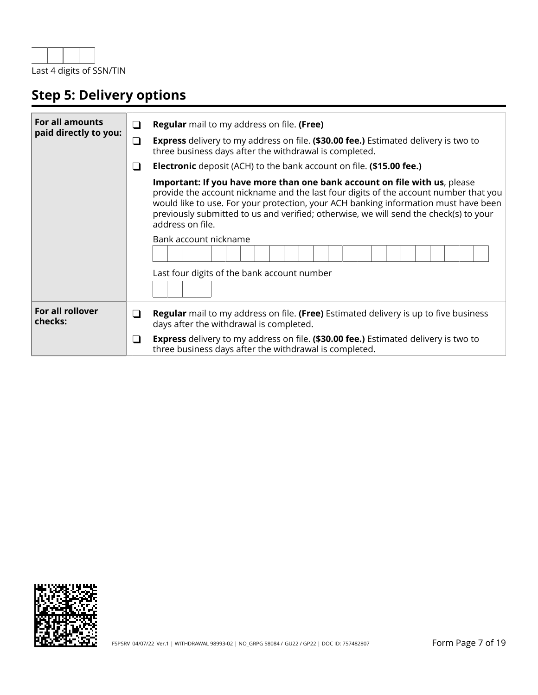

# **Step 5: Delivery options**

| <b>For all amounts</b><br>paid directly to you: | $\Box$   | <b>Regular</b> mail to my address on file. (Free)                                                                                                                                                                                                                                                                                                                     |
|-------------------------------------------------|----------|-----------------------------------------------------------------------------------------------------------------------------------------------------------------------------------------------------------------------------------------------------------------------------------------------------------------------------------------------------------------------|
|                                                 | $\sqcup$ | <b>Express</b> delivery to my address on file. (\$30.00 fee.) Estimated delivery is two to<br>three business days after the withdrawal is completed.                                                                                                                                                                                                                  |
|                                                 | ⊔        | <b>Electronic</b> deposit (ACH) to the bank account on file. (\$15.00 fee.)                                                                                                                                                                                                                                                                                           |
|                                                 |          | Important: If you have more than one bank account on file with us, please<br>provide the account nickname and the last four digits of the account number that you<br>would like to use. For your protection, your ACH banking information must have been<br>previously submitted to us and verified; otherwise, we will send the check(s) to your<br>address on file. |
|                                                 |          | Bank account nickname                                                                                                                                                                                                                                                                                                                                                 |
|                                                 |          | Last four digits of the bank account number                                                                                                                                                                                                                                                                                                                           |
| For all rollover<br>checks:                     | ⊔        | <b>Regular</b> mail to my address on file. (Free) Estimated delivery is up to five business<br>days after the withdrawal is completed.                                                                                                                                                                                                                                |
|                                                 | ⊔        | <b>Express</b> delivery to my address on file. (\$30.00 fee.) Estimated delivery is two to<br>three business days after the withdrawal is completed.                                                                                                                                                                                                                  |

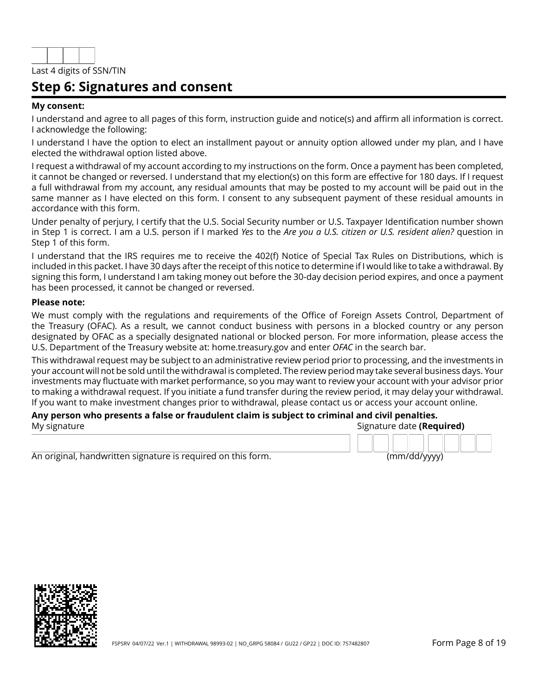

## **Step 6: Signatures and consent**

#### **My consent:**

I understand and agree to all pages of this form, instruction guide and notice(s) and affirm all information is correct. I acknowledge the following:

I understand I have the option to elect an installment payout or annuity option allowed under my plan, and I have elected the withdrawal option listed above.

I request a withdrawal of my account according to my instructions on the form. Once a payment has been completed, it cannot be changed or reversed. I understand that my election(s) on this form are effective for 180 days. If I request a full withdrawal from my account, any residual amounts that may be posted to my account will be paid out in the same manner as I have elected on this form. I consent to any subsequent payment of these residual amounts in accordance with this form.

Under penalty of perjury, I certify that the U.S. Social Security number or U.S. Taxpayer Identification number shown in Step 1 is correct. I am a U.S. person if I marked *Yes* to the *Are you a U.S. citizen or U.S. resident alien?* question in Step 1 of this form.

I understand that the IRS requires me to receive the 402(f) Notice of Special Tax Rules on Distributions, which is included in this packet. I have 30 days after the receipt of this notice to determine if I would like to take a withdrawal. By signing this form, I understand I am taking money out before the 30-day decision period expires, and once a payment has been processed, it cannot be changed or reversed.

#### **Please note:**

We must comply with the regulations and requirements of the Office of Foreign Assets Control, Department of the Treasury (OFAC). As a result, we cannot conduct business with persons in a blocked country or any person designated by OFAC as a specially designated national or blocked person. For more information, please access the U.S. Department of the Treasury website at: home.treasury.gov and enter *OFAC* in the search bar.

This withdrawal request may be subject to an administrative review period prior to processing, and the investments in your account will not be sold until the withdrawal is completed. The review period may take several business days. Your investments may fluctuate with market performance, so you may want to review your account with your advisor prior to making a withdrawal request. If you initiate a fund transfer during the review period, it may delay your withdrawal. If you want to make investment changes prior to withdrawal, please contact us or access your account online.

#### **Any person who presents a false or fraudulent claim is subject to criminal and civil penalties.** My signature Signature date **(Required)**

An original, handwritten signature is required on this form. (mm/dd/yyyy)

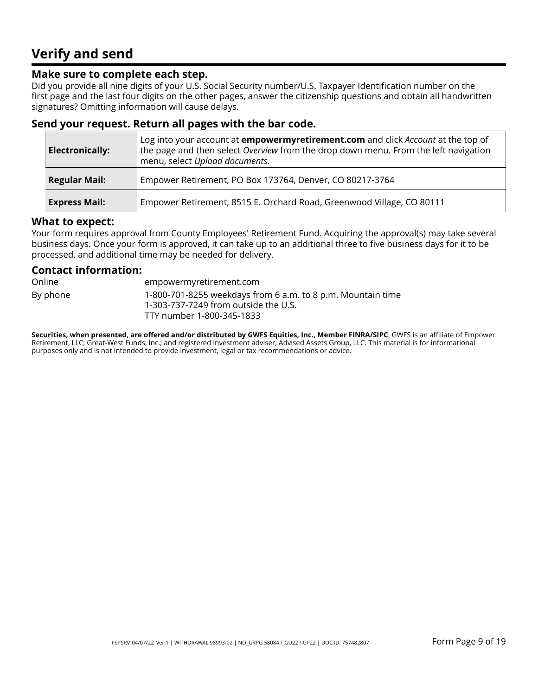## **Verify and send**

## **Make sure to complete each step.**

Did you provide all nine digits of your U.S. Social Security number/U.S. Taxpayer Identification number on the first page and the last four digits on the other pages, answer the citizenship questions and obtain all handwritten signatures? Omitting information will cause delays.

## **Send your request. Return all pages with the bar code.**

| <b>Electronically:</b> | Log into your account at <b>empowermyretirement.com</b> and click <i>Account</i> at the top of<br>the page and then select Overview from the drop down menu. From the left navigation<br>menu, select Upload documents. |
|------------------------|-------------------------------------------------------------------------------------------------------------------------------------------------------------------------------------------------------------------------|
| <b>Regular Mail:</b>   | Empower Retirement, PO Box 173764, Denver, CO 80217-3764                                                                                                                                                                |
| <b>Express Mail:</b>   | Empower Retirement, 8515 E. Orchard Road, Greenwood Village, CO 80111                                                                                                                                                   |

### **What to expect:**

Your form requires approval from County Employees' Retirement Fund. Acquiring the approval(s) may take several business days. Once your form is approved, it can take up to an additional three to five business days for it to be processed, and additional time may be needed for delivery.

### **Contact information:**

Online empowermyretirement.com By phone 1-800-701-8255 weekdays from 6 a.m. to 8 p.m. Mountain time 1-303-737-7249 from outside the U.S. TTY number 1-800-345-1833

**Securities, when presented, are offered and/or distributed by GWFS Equities, Inc., Member FINRA/SIPC**. GWFS is an affiliate of Empower Retirement, LLC; Great-West Funds, Inc.; and registered investment adviser, Advised Assets Group, LLC. This material is for informational purposes only and is not intended to provide investment, legal or tax recommendations or advice.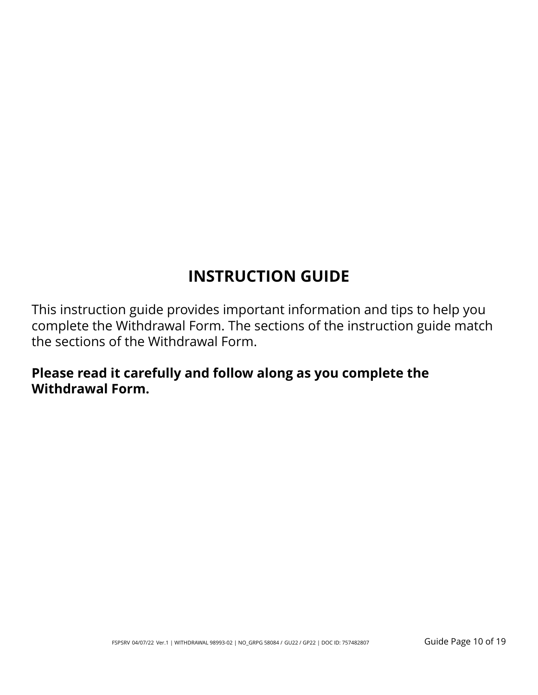# **INSTRUCTION GUIDE**

This instruction guide provides important information and tips to help you complete the Withdrawal Form. The sections of the instruction guide match the sections of the Withdrawal Form.

## **Please read it carefully and follow along as you complete the Withdrawal Form.**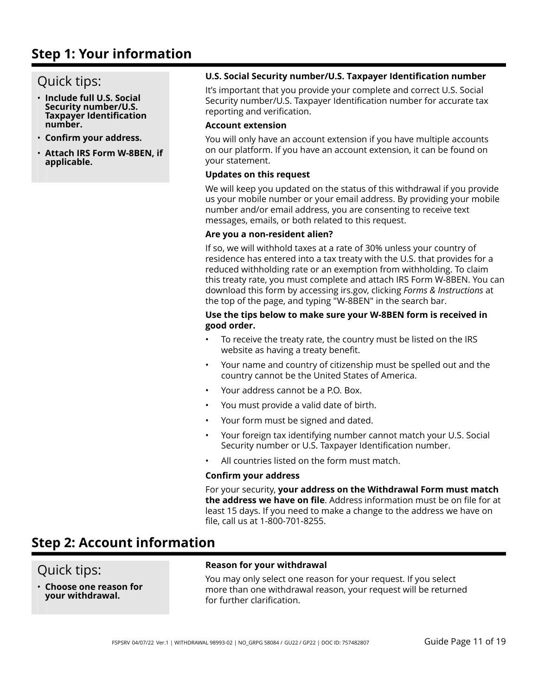## **Step 1: Your information**

## Quick tips:

- **Include full U.S. Social Security number/U.S. Taxpayer Identification number.**
- **Confirm your address.**
- **Attach IRS Form W-8BEN, if applicable.**

### **U.S. Social Security number/U.S. Taxpayer Identification number**

It's important that you provide your complete and correct U.S. Social Security number/U.S. Taxpayer Identification number for accurate tax reporting and verification.

### **Account extension**

You will only have an account extension if you have multiple accounts on our platform. If you have an account extension, it can be found on your statement.

#### **Updates on this request**

We will keep you updated on the status of this withdrawal if you provide us your mobile number or your email address. By providing your mobile number and/or email address, you are consenting to receive text messages, emails, or both related to this request.

#### **Are you a non-resident alien?**

If so, we will withhold taxes at a rate of 30% unless your country of residence has entered into a tax treaty with the U.S. that provides for a reduced withholding rate or an exemption from withholding. To claim this treaty rate, you must complete and attach IRS Form W-8BEN. You can download this form by accessing irs.gov, clicking *Forms & Instructions* at the top of the page, and typing "W-8BEN" in the search bar.

### **Use the tips below to make sure your W-8BEN form is received in good order.**

- To receive the treaty rate, the country must be listed on the IRS website as having a treaty benefit.
- Your name and country of citizenship must be spelled out and the country cannot be the United States of America.
- Your address cannot be a P.O. Box.
- You must provide a valid date of birth.
- Your form must be signed and dated.
- Your foreign tax identifying number cannot match your U.S. Social Security number or U.S. Taxpayer Identification number.
- All countries listed on the form must match.

### **Confirm your address**

For your security, **your address on the Withdrawal Form must match the address we have on file**. Address information must be on file for at least 15 days. If you need to make a change to the address we have on file, call us at 1-800-701-8255.

## **Step 2: Account information**

## Quick tips:

• **Choose one reason for your withdrawal.**

### **Reason for your withdrawal**

You may only select one reason for your request. If you select more than one withdrawal reason, your request will be returned for further clarification.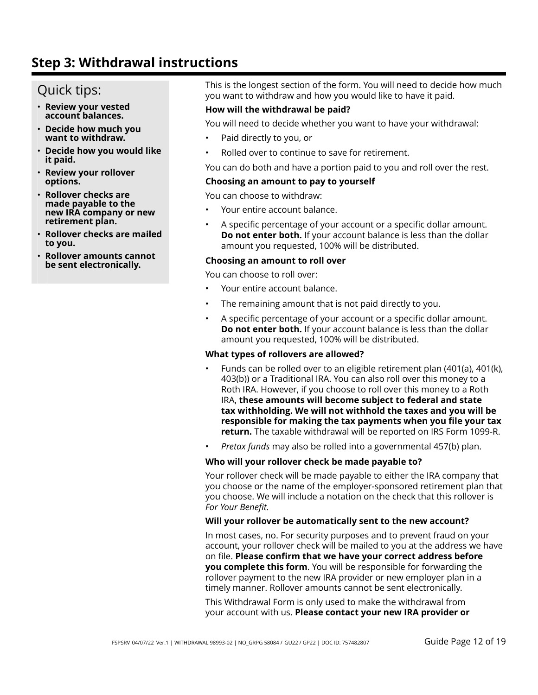## Quick tips:

- **Review your vested account balances.**
- **Decide how much you want to withdraw.**
- **Decide how you would like it paid.**
- **Review your rollover options.**
- **Rollover checks are made payable to the new IRA company or new retirement plan.**
- **Rollover checks are mailed to you.**
- **Rollover amounts cannot be sent electronically.**

This is the longest section of the form. You will need to decide how much you want to withdraw and how you would like to have it paid.

### **How will the withdrawal be paid?**

You will need to decide whether you want to have your withdrawal:

- Paid directly to you, or
- Rolled over to continue to save for retirement.

You can do both and have a portion paid to you and roll over the rest.

#### **Choosing an amount to pay to yourself**

You can choose to withdraw:

- Your entire account balance.
- A specific percentage of your account or a specific dollar amount. **Do not enter both.** If your account balance is less than the dollar amount you requested, 100% will be distributed.

#### **Choosing an amount to roll over**

You can choose to roll over:

- Your entire account balance.
- The remaining amount that is not paid directly to you.
- A specific percentage of your account or a specific dollar amount. **Do not enter both.** If your account balance is less than the dollar amount you requested, 100% will be distributed.

#### **What types of rollovers are allowed?**

- Funds can be rolled over to an eligible retirement plan (401(a), 401(k), 403(b)) or a Traditional IRA. You can also roll over this money to a Roth IRA. However, if you choose to roll over this money to a Roth IRA, **these amounts will become subject to federal and state tax withholding. We will not withhold the taxes and you will be responsible for making the tax payments when you file your tax return.** The taxable withdrawal will be reported on IRS Form 1099-R.
- *Pretax funds* may also be rolled into a governmental 457(b) plan.

#### **Who will your rollover check be made payable to?**

Your rollover check will be made payable to either the IRA company that you choose or the name of the employer-sponsored retirement plan that you choose. We will include a notation on the check that this rollover is *For Your Benefit.*

#### **Will your rollover be automatically sent to the new account?**

In most cases, no. For security purposes and to prevent fraud on your account, your rollover check will be mailed to you at the address we have on file. **Please confirm that we have your correct address before you complete this form**. You will be responsible for forwarding the rollover payment to the new IRA provider or new employer plan in a timely manner. Rollover amounts cannot be sent electronically.

This Withdrawal Form is only used to make the withdrawal from your account with us. **Please contact your new IRA provider or**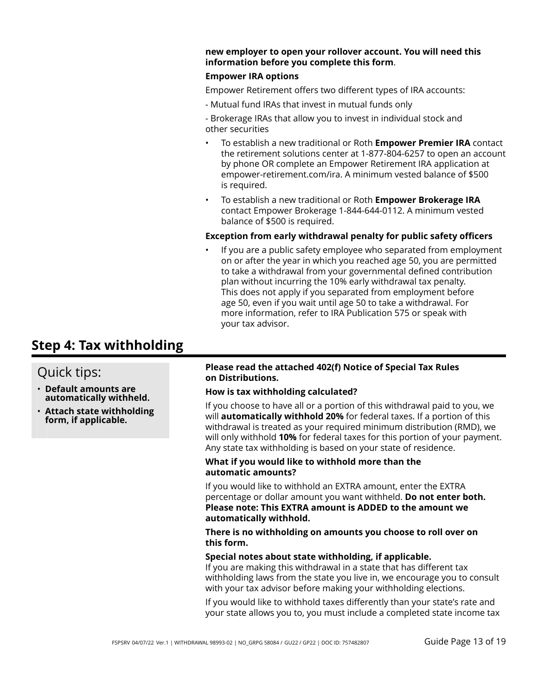#### **new employer to open your rollover account. You will need this information before you complete this form**.

### **Empower IRA options**

Empower Retirement offers two different types of IRA accounts:

- Mutual fund IRAs that invest in mutual funds only

- Brokerage IRAs that allow you to invest in individual stock and other securities

- To establish a new traditional or Roth **Empower Premier IRA** contact the retirement solutions center at 1-877-804-6257 to open an account by phone OR complete an Empower Retirement IRA application at empower-retirement.com/ira. A minimum vested balance of \$500 is required.
- To establish a new traditional or Roth **Empower Brokerage IRA** contact Empower Brokerage 1-844-644-0112. A minimum vested balance of \$500 is required.

#### **Exception from early withdrawal penalty for public safety officers**

If you are a public safety employee who separated from employment on or after the year in which you reached age 50, you are permitted to take a withdrawal from your governmental defined contribution plan without incurring the 10% early withdrawal tax penalty. This does not apply if you separated from employment before age 50, even if you wait until age 50 to take a withdrawal. For more information, refer to IRA Publication 575 or speak with your tax advisor.

## **Step 4: Tax withholding**

## Quick tips:

- **Default amounts are automatically withheld.**
- **Attach state withholding form, if applicable.**

#### **Please read the attached 402(f) Notice of Special Tax Rules on Distributions.**

### **How is tax withholding calculated?**

If you choose to have all or a portion of this withdrawal paid to you, we will **automatically withhold 20%** for federal taxes. If a portion of this withdrawal is treated as your required minimum distribution (RMD), we will only withhold **10%** for federal taxes for this portion of your payment. Any state tax withholding is based on your state of residence.

#### **What if you would like to withhold more than the automatic amounts?**

If you would like to withhold an EXTRA amount, enter the EXTRA percentage or dollar amount you want withheld. **Do not enter both. Please note: This EXTRA amount is ADDED to the amount we automatically withhold.**

**There is no withholding on amounts you choose to roll over on this form.**

#### **Special notes about state withholding, if applicable.**

If you are making this withdrawal in a state that has different tax withholding laws from the state you live in, we encourage you to consult with your tax advisor before making your withholding elections.

If you would like to withhold taxes differently than your state's rate and your state allows you to, you must include a completed state income tax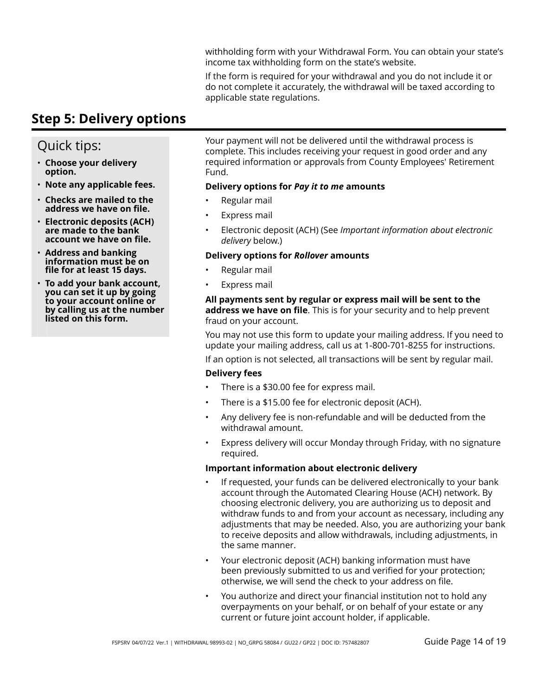withholding form with your Withdrawal Form. You can obtain your state's income tax withholding form on the state's website.

If the form is required for your withdrawal and you do not include it or do not complete it accurately, the withdrawal will be taxed according to applicable state regulations.

## **Step 5: Delivery options**

## Quick tips:

- **Choose your delivery option.**
- **Note any applicable fees.**
- **Checks are mailed to the address we have on file.**
- **Electronic deposits (ACH) are made to the bank account we have on file.**
- **Address and banking information must be on file for at least 15 days.**
- **To add your bank account, you can set it up by going to your account online or by calling us at the number listed on this form.**

Your payment will not be delivered until the withdrawal process is complete. This includes receiving your request in good order and any required information or approvals from County Employees' Retirement Fund.

### **Delivery options for** *Pay it to me* **amounts**

- Regular mail
- Express mail
- Electronic deposit (ACH) (See *Important information about electronic delivery* below.)

### **Delivery options for** *Rollover* **amounts**

- Regular mail
- Express mail

### **All payments sent by regular or express mail will be sent to the address we have on file**. This is for your security and to help prevent fraud on your account.

You may not use this form to update your mailing address. If you need to update your mailing address, call us at 1-800-701-8255 for instructions.

If an option is not selected, all transactions will be sent by regular mail.

### **Delivery fees**

- There is a \$30.00 fee for express mail.
- There is a \$15.00 fee for electronic deposit (ACH).
- Any delivery fee is non-refundable and will be deducted from the withdrawal amount.
- Express delivery will occur Monday through Friday, with no signature required.

### **Important information about electronic delivery**

- If requested, your funds can be delivered electronically to your bank account through the Automated Clearing House (ACH) network. By choosing electronic delivery, you are authorizing us to deposit and withdraw funds to and from your account as necessary, including any adjustments that may be needed. Also, you are authorizing your bank to receive deposits and allow withdrawals, including adjustments, in the same manner.
- Your electronic deposit (ACH) banking information must have been previously submitted to us and verified for your protection; otherwise, we will send the check to your address on file.
- You authorize and direct your financial institution not to hold any overpayments on your behalf, or on behalf of your estate or any current or future joint account holder, if applicable.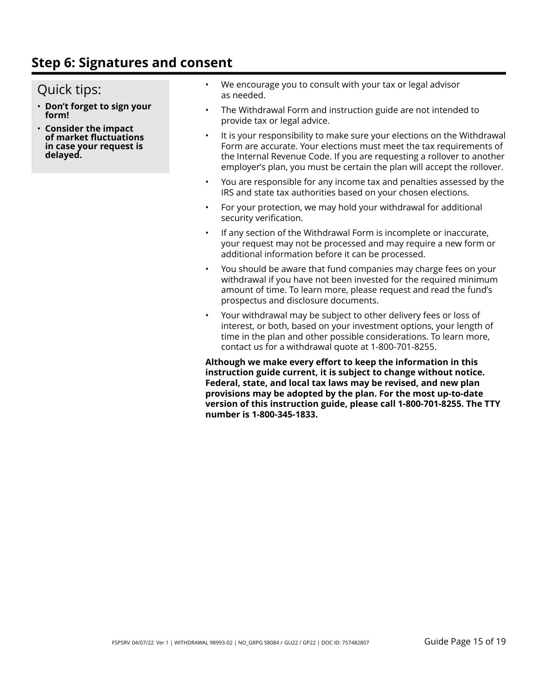## **Step 6: Signatures and consent**

## Quick tips:

- **Don't forget to sign your form!**
- **Consider the impact of market fluctuations in case your request is delayed.**
- We encourage you to consult with your tax or legal advisor as needed.
- The Withdrawal Form and instruction guide are not intended to provide tax or legal advice.
- It is your responsibility to make sure your elections on the Withdrawal Form are accurate. Your elections must meet the tax requirements of the Internal Revenue Code. If you are requesting a rollover to another employer's plan, you must be certain the plan will accept the rollover.
- You are responsible for any income tax and penalties assessed by the IRS and state tax authorities based on your chosen elections.
- For your protection, we may hold your withdrawal for additional security verification.
- If any section of the Withdrawal Form is incomplete or inaccurate, your request may not be processed and may require a new form or additional information before it can be processed.
- You should be aware that fund companies may charge fees on your withdrawal if you have not been invested for the required minimum amount of time. To learn more, please request and read the fund's prospectus and disclosure documents.
- Your withdrawal may be subject to other delivery fees or loss of interest, or both, based on your investment options, your length of time in the plan and other possible considerations. To learn more, contact us for a withdrawal quote at 1-800-701-8255.

**Although we make every effort to keep the information in this instruction guide current, it is subject to change without notice. Federal, state, and local tax laws may be revised, and new plan provisions may be adopted by the plan. For the most up-to-date version of this instruction guide, please call 1-800-701-8255. The TTY number is 1-800-345-1833.**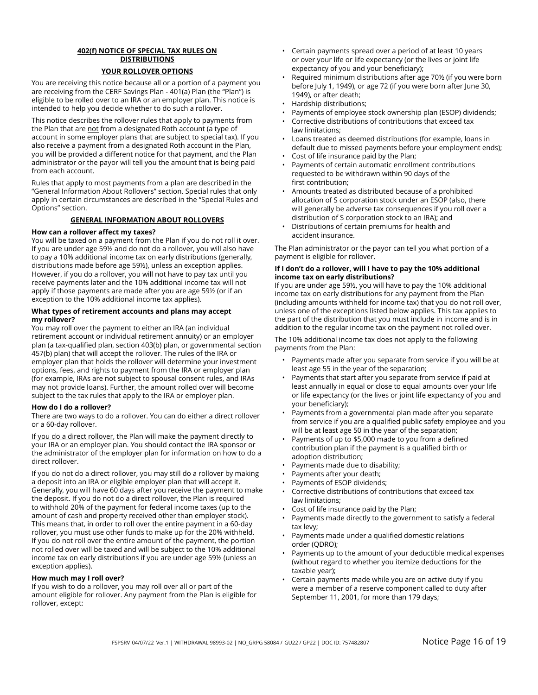### **402(f) NOTICE OF SPECIAL TAX RULES ON DISTRIBUTIONS**

#### **YOUR ROLLOVER OPTIONS**

You are receiving this notice because all or a portion of a payment you are receiving from the CERF Savings Plan - 401(a) Plan (the "Plan") is eligible to be rolled over to an IRA or an employer plan. This notice is intended to help you decide whether to do such a rollover.

This notice describes the rollover rules that apply to payments from the Plan that are not from a designated Roth account (a type of account in some employer plans that are subject to special tax). If you also receive a payment from a designated Roth account in the Plan, you will be provided a different notice for that payment, and the Plan administrator or the payor will tell you the amount that is being paid from each account.

Rules that apply to most payments from a plan are described in the "General Information About Rollovers" section. Special rules that only apply in certain circumstances are described in the "Special Rules and Options" section.

#### **GENERAL INFORMATION ABOUT ROLLOVERS**

#### **How can a rollover affect my taxes?**

You will be taxed on a payment from the Plan if you do not roll it over. If you are under age 59½ and do not do a rollover, you will also have to pay a 10% additional income tax on early distributions (generally, distributions made before age 59½), unless an exception applies. However, if you do a rollover, you will not have to pay tax until you receive payments later and the 10% additional income tax will not apply if those payments are made after you are age 59½ (or if an exception to the 10% additional income tax applies).

#### **What types of retirement accounts and plans may accept my rollover?**

You may roll over the payment to either an IRA (an individual retirement account or individual retirement annuity) or an employer plan (a tax-qualified plan, section 403(b) plan, or governmental section 457(b) plan) that will accept the rollover. The rules of the IRA or employer plan that holds the rollover will determine your investment options, fees, and rights to payment from the IRA or employer plan (for example, IRAs are not subject to spousal consent rules, and IRAs may not provide loans). Further, the amount rolled over will become subject to the tax rules that apply to the IRA or employer plan.

#### **How do I do a rollover?**

There are two ways to do a rollover. You can do either a direct rollover or a 60-day rollover.

If you do a direct rollover, the Plan will make the payment directly to your IRA or an employer plan. You should contact the IRA sponsor or the administrator of the employer plan for information on how to do a direct rollover.

If you do not do a direct rollover, you may still do a rollover by making a deposit into an IRA or eligible employer plan that will accept it. Generally, you will have 60 days after you receive the payment to make the deposit. If you do not do a direct rollover, the Plan is required to withhold 20% of the payment for federal income taxes (up to the amount of cash and property received other than employer stock). This means that, in order to roll over the entire payment in a 60-day rollover, you must use other funds to make up for the 20% withheld. If you do not roll over the entire amount of the payment, the portion not rolled over will be taxed and will be subject to the 10% additional income tax on early distributions if you are under age 59½ (unless an exception applies).

#### **How much may I roll over?**

If you wish to do a rollover, you may roll over all or part of the amount eligible for rollover. Any payment from the Plan is eligible for rollover, except:

- Certain payments spread over a period of at least 10 years or over your life or life expectancy (or the lives or joint life expectancy of you and your beneficiary);
- Required minimum distributions after age 70½ (if you were born before July 1, 1949), or age 72 (if you were born after June 30, 1949), or after death;
- Hardship distributions;
- Payments of employee stock ownership plan (ESOP) dividends;
- Corrective distributions of contributions that exceed tax law limitations;
- Loans treated as deemed distributions (for example, loans in default due to missed payments before your employment ends);
- Cost of life insurance paid by the Plan;
- Payments of certain automatic enrollment contributions requested to be withdrawn within 90 days of the first contribution;
- Amounts treated as distributed because of a prohibited allocation of S corporation stock under an ESOP (also, there will generally be adverse tax consequences if you roll over a distribution of S corporation stock to an IRA); and
- Distributions of certain premiums for health and accident insurance.

The Plan administrator or the payor can tell you what portion of a payment is eligible for rollover.

#### **If I don't do a rollover, will I have to pay the 10% additional income tax on early distributions?**

If you are under age 59½, you will have to pay the 10% additional income tax on early distributions for any payment from the Plan (including amounts withheld for income tax) that you do not roll over, unless one of the exceptions listed below applies. This tax applies to the part of the distribution that you must include in income and is in addition to the regular income tax on the payment not rolled over.

The 10% additional income tax does not apply to the following payments from the Plan:

- Payments made after you separate from service if you will be at least age 55 in the year of the separation;
- Payments that start after you separate from service if paid at least annually in equal or close to equal amounts over your life or life expectancy (or the lives or joint life expectancy of you and your beneficiary);
- Payments from a governmental plan made after you separate from service if you are a qualified public safety employee and you will be at least age 50 in the year of the separation;
- Payments of up to \$5,000 made to you from a defined contribution plan if the payment is a qualified birth or adoption distribution;
- Payments made due to disability;
- Payments after your death;
- Payments of ESOP dividends;
- Corrective distributions of contributions that exceed tax law limitations;
- Cost of life insurance paid by the Plan;
- Payments made directly to the government to satisfy a federal tax levy;
- Payments made under a qualified domestic relations order (QDRO);
- Payments up to the amount of your deductible medical expenses (without regard to whether you itemize deductions for the taxable year);
- Certain payments made while you are on active duty if you were a member of a reserve component called to duty after September 11, 2001, for more than 179 days;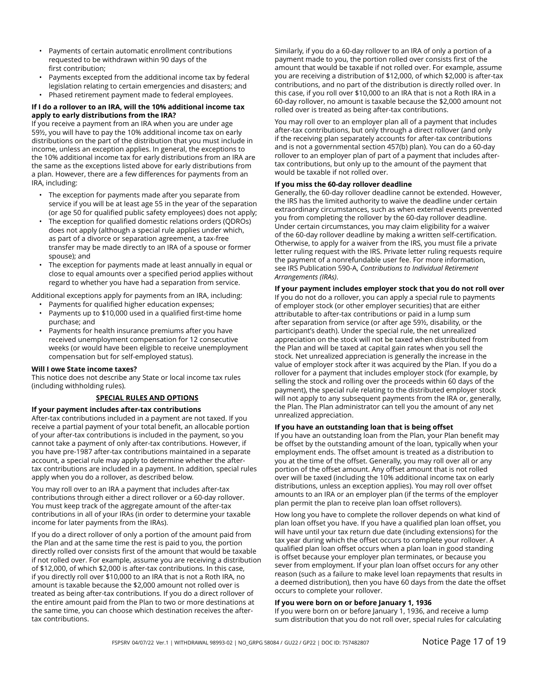- Payments of certain automatic enrollment contributions requested to be withdrawn within 90 days of the first contribution;
- Payments excepted from the additional income tax by federal legislation relating to certain emergencies and disasters; and
- Phased retirement payment made to federal employees.

#### **If I do a rollover to an IRA, will the 10% additional income tax apply to early distributions from the IRA?**

If you receive a payment from an IRA when you are under age 59½, you will have to pay the 10% additional income tax on early distributions on the part of the distribution that you must include in income, unless an exception applies. In general, the exceptions to the 10% additional income tax for early distributions from an IRA are the same as the exceptions listed above for early distributions from a plan. However, there are a few differences for payments from an IRA, including:

- The exception for payments made after you separate from service if you will be at least age 55 in the year of the separation (or age 50 for qualified public safety employees) does not apply;
- The exception for qualified domestic relations orders (QDROs) does not apply (although a special rule applies under which, as part of a divorce or separation agreement, a tax-free transfer may be made directly to an IRA of a spouse or former spouse); and
- The exception for payments made at least annually in equal or close to equal amounts over a specified period applies without regard to whether you have had a separation from service.

Additional exceptions apply for payments from an IRA, including:

- Payments for qualified higher education expenses;
- Payments up to \$10,000 used in a qualified first-time home purchase; and
- Payments for health insurance premiums after you have received unemployment compensation for 12 consecutive weeks (or would have been eligible to receive unemployment compensation but for self-employed status).

#### **Will I owe State income taxes?**

This notice does not describe any State or local income tax rules (including withholding rules).

#### **SPECIAL RULES AND OPTIONS**

#### **If your payment includes after-tax contributions**

After-tax contributions included in a payment are not taxed. If you receive a partial payment of your total benefit, an allocable portion of your after-tax contributions is included in the payment, so you cannot take a payment of only after-tax contributions. However, if you have pre-1987 after-tax contributions maintained in a separate account, a special rule may apply to determine whether the aftertax contributions are included in a payment. In addition, special rules apply when you do a rollover, as described below.

You may roll over to an IRA a payment that includes after-tax contributions through either a direct rollover or a 60-day rollover. You must keep track of the aggregate amount of the after-tax contributions in all of your IRAs (in order to determine your taxable income for later payments from the IRAs).

If you do a direct rollover of only a portion of the amount paid from the Plan and at the same time the rest is paid to you, the portion directly rolled over consists first of the amount that would be taxable if not rolled over. For example, assume you are receiving a distribution of \$12,000, of which \$2,000 is after-tax contributions. In this case, if you directly roll over \$10,000 to an IRA that is not a Roth IRA, no amount is taxable because the \$2,000 amount not rolled over is treated as being after-tax contributions. If you do a direct rollover of the entire amount paid from the Plan to two or more destinations at the same time, you can choose which destination receives the aftertax contributions.

Similarly, if you do a 60-day rollover to an IRA of only a portion of a payment made to you, the portion rolled over consists first of the amount that would be taxable if not rolled over. For example, assume you are receiving a distribution of \$12,000, of which \$2,000 is after-tax contributions, and no part of the distribution is directly rolled over. In this case, if you roll over \$10,000 to an IRA that is not a Roth IRA in a 60-day rollover, no amount is taxable because the \$2,000 amount not rolled over is treated as being after-tax contributions.

You may roll over to an employer plan all of a payment that includes after-tax contributions, but only through a direct rollover (and only if the receiving plan separately accounts for after-tax contributions and is not a governmental section 457(b) plan). You can do a 60-day rollover to an employer plan of part of a payment that includes aftertax contributions, but only up to the amount of the payment that would be taxable if not rolled over.

#### **If you miss the 60-day rollover deadline**

Generally, the 60-day rollover deadline cannot be extended. However, the IRS has the limited authority to waive the deadline under certain extraordinary circumstances, such as when external events prevented you from completing the rollover by the 60-day rollover deadline. Under certain circumstances, you may claim eligibility for a waiver of the 60-day rollover deadline by making a written self-certification. Otherwise, to apply for a waiver from the IRS, you must file a private letter ruling request with the IRS. Private letter ruling requests require the payment of a nonrefundable user fee. For more information, see IRS Publication 590-A, *Contributions to Individual Retirement Arrangements (IRAs)*.

#### **If your payment includes employer stock that you do not roll over**

If you do not do a rollover, you can apply a special rule to payments of employer stock (or other employer securities) that are either attributable to after-tax contributions or paid in a lump sum after separation from service (or after age 59½, disability, or the participant's death). Under the special rule, the net unrealized appreciation on the stock will not be taxed when distributed from the Plan and will be taxed at capital gain rates when you sell the stock. Net unrealized appreciation is generally the increase in the value of employer stock after it was acquired by the Plan. If you do a rollover for a payment that includes employer stock (for example, by selling the stock and rolling over the proceeds within 60 days of the payment), the special rule relating to the distributed employer stock will not apply to any subsequent payments from the IRA or, generally, the Plan. The Plan administrator can tell you the amount of any net unrealized appreciation.

#### **If you have an outstanding loan that is being offset**

If you have an outstanding loan from the Plan, your Plan benefit may be offset by the outstanding amount of the loan, typically when your employment ends. The offset amount is treated as a distribution to you at the time of the offset. Generally, you may roll over all or any portion of the offset amount. Any offset amount that is not rolled over will be taxed (including the 10% additional income tax on early distributions, unless an exception applies). You may roll over offset amounts to an IRA or an employer plan (if the terms of the employer plan permit the plan to receive plan loan offset rollovers).

How long you have to complete the rollover depends on what kind of plan loan offset you have. If you have a qualified plan loan offset, you will have until your tax return due date (including extensions) for the tax year during which the offset occurs to complete your rollover. A qualified plan loan offset occurs when a plan loan in good standing is offset because your employer plan terminates, or because you sever from employment. If your plan loan offset occurs for any other reason (such as a failure to make level loan repayments that results in a deemed distribution), then you have 60 days from the date the offset occurs to complete your rollover.

#### **If you were born on or before January 1, 1936**

If you were born on or before January 1, 1936, and receive a lump sum distribution that you do not roll over, special rules for calculating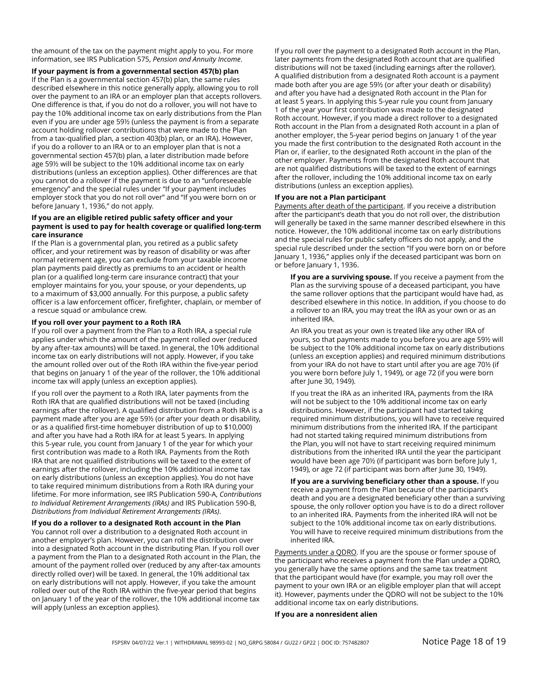the amount of the tax on the payment might apply to you. For more information, see IRS Publication 575, *Pension and Annuity Income*.

**If your payment is from a governmental section 457(b) plan** If the Plan is a governmental section 457(b) plan, the same rules described elsewhere in this notice generally apply, allowing you to roll over the payment to an IRA or an employer plan that accepts rollovers. One difference is that, if you do not do a rollover, you will not have to pay the 10% additional income tax on early distributions from the Plan even if you are under age 59½ (unless the payment is from a separate account holding rollover contributions that were made to the Plan from a tax-qualified plan, a section 403(b) plan, or an IRA). However, if you do a rollover to an IRA or to an employer plan that is not a governmental section 457(b) plan, a later distribution made before age 59½ will be subject to the 10% additional income tax on early distributions (unless an exception applies). Other differences are that you cannot do a rollover if the payment is due to an "unforeseeable emergency" and the special rules under "If your payment includes employer stock that you do not roll over" and "If you were born on or before January 1, 1936," do not apply.

#### **If you are an eligible retired public safety officer and your payment is used to pay for health coverage or qualified long-term care insurance**

If the Plan is a governmental plan, you retired as a public safety officer, and your retirement was by reason of disability or was after normal retirement age, you can exclude from your taxable income plan payments paid directly as premiums to an accident or health plan (or a qualified long-term care insurance contract) that your employer maintains for you, your spouse, or your dependents, up to a maximum of \$3,000 annually. For this purpose, a public safety officer is a law enforcement officer, firefighter, chaplain, or member of a rescue squad or ambulance crew.

#### **If you roll over your payment to a Roth IRA**

If you roll over a payment from the Plan to a Roth IRA, a special rule applies under which the amount of the payment rolled over (reduced by any after-tax amounts) will be taxed. In general, the 10% additional income tax on early distributions will not apply. However, if you take the amount rolled over out of the Roth IRA within the five-year period that begins on January 1 of the year of the rollover, the 10% additional income tax will apply (unless an exception applies).

If you roll over the payment to a Roth IRA, later payments from the Roth IRA that are qualified distributions will not be taxed (including earnings after the rollover). A qualified distribution from a Roth IRA is a payment made after you are age 59½ (or after your death or disability, or as a qualified first-time homebuyer distribution of up to \$10,000) and after you have had a Roth IRA for at least 5 years. In applying this 5-year rule, you count from January 1 of the year for which your first contribution was made to a Roth IRA. Payments from the Roth IRA that are not qualified distributions will be taxed to the extent of earnings after the rollover, including the 10% additional income tax on early distributions (unless an exception applies). You do not have to take required minimum distributions from a Roth IRA during your lifetime. For more information, see IRS Publication 590-A, *Contributions to Individual Retirement Arrangements (IRAs)* and IRS Publication 590-B, *Distributions from Individual Retirement Arrangements (IRAs)*.

**If you do a rollover to a designated Roth account in the Plan** You cannot roll over a distribution to a designated Roth account in another employer's plan. However, you can roll the distribution over into a designated Roth account in the distributing Plan. If you roll over a payment from the Plan to a designated Roth account in the Plan, the amount of the payment rolled over (reduced by any after-tax amounts directly rolled over) will be taxed. In general, the 10% additional tax on early distributions will not apply. However, if you take the amount rolled over out of the Roth IRA within the five-year period that begins on January 1 of the year of the rollover, the 10% additional income tax will apply (unless an exception applies).

If you roll over the payment to a designated Roth account in the Plan, later payments from the designated Roth account that are qualified distributions will not be taxed (including earnings after the rollover). A qualified distribution from a designated Roth account is a payment made both after you are age 59½ (or after your death or disability) and after you have had a designated Roth account in the Plan for at least 5 years. In applying this 5-year rule you count from January 1 of the year your first contribution was made to the designated Roth account. However, if you made a direct rollover to a designated Roth account in the Plan from a designated Roth account in a plan of another employer, the 5-year period begins on January 1 of the year you made the first contribution to the designated Roth account in the Plan or, if earlier, to the designated Roth account in the plan of the other employer. Payments from the designated Roth account that are not qualified distributions will be taxed to the extent of earnings after the rollover, including the 10% additional income tax on early distributions (unless an exception applies).

#### **If you are not a Plan participant**

Payments after death of the participant. If you receive a distribution after the participant's death that you do not roll over, the distribution will generally be taxed in the same manner described elsewhere in this notice. However, the 10% additional income tax on early distributions and the special rules for public safety officers do not apply, and the special rule described under the section "If you were born on or before January 1, 1936," applies only if the deceased participant was born on or before January 1, 1936.

**If you are a surviving spouse.** If you receive a payment from the Plan as the surviving spouse of a deceased participant, you have the same rollover options that the participant would have had, as described elsewhere in this notice. In addition, if you choose to do a rollover to an IRA, you may treat the IRA as your own or as an inherited IRA.

An IRA you treat as your own is treated like any other IRA of yours, so that payments made to you before you are age 59½ will be subject to the 10% additional income tax on early distributions (unless an exception applies) and required minimum distributions from your IRA do not have to start until after you are age 70½ (if you were born before July 1, 1949), or age 72 (if you were born after June 30, 1949).

If you treat the IRA as an inherited IRA, payments from the IRA will not be subject to the 10% additional income tax on early distributions. However, if the participant had started taking required minimum distributions, you will have to receive required minimum distributions from the inherited IRA. If the participant had not started taking required minimum distributions from the Plan, you will not have to start receiving required minimum distributions from the inherited IRA until the year the participant would have been age 70½ (if participant was born before July 1, 1949), or age 72 (if participant was born after June 30, 1949).

**If you are a surviving beneficiary other than a spouse.** If you receive a payment from the Plan because of the participant's death and you are a designated beneficiary other than a surviving spouse, the only rollover option you have is to do a direct rollover to an inherited IRA. Payments from the inherited IRA will not be subject to the 10% additional income tax on early distributions. You will have to receive required minimum distributions from the inherited IRA.

Payments under a QDRO. If you are the spouse or former spouse of the participant who receives a payment from the Plan under a QDRO, you generally have the same options and the same tax treatment that the participant would have (for example, you may roll over the payment to your own IRA or an eligible employer plan that will accept it). However, payments under the QDRO will not be subject to the 10% additional income tax on early distributions.

#### **If you are a nonresident alien**